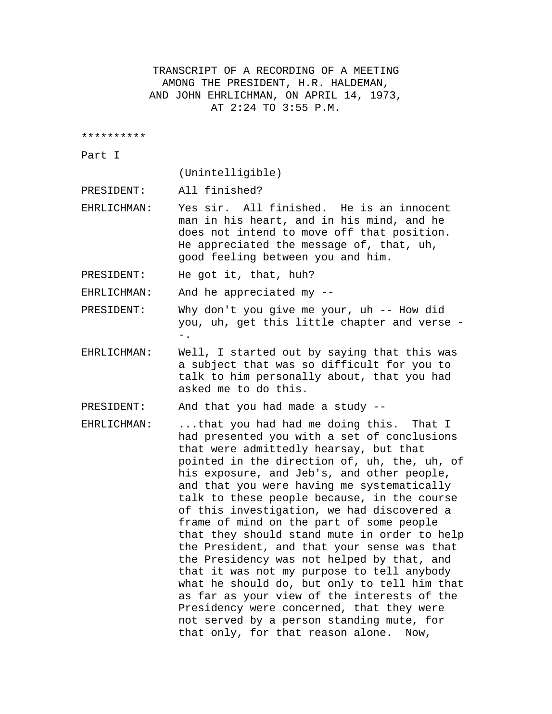TRANSCRIPT OF A RECORDING OF A MEETING AMONG THE PRESIDENT, H.R. HALDEMAN, AND JOHN EHRLICHMAN, ON APRIL 14, 1973, AT 2:24 TO 3:55 P.M.

\*\*\*\*\*\*\*\*\*\*

Part I

(Unintelligible)

PRESIDENT: All finished?

EHRLICHMAN: Yes sir. All finished. He is an innocent man in his heart, and in his mind, and he does not intend to move off that position. He appreciated the message of, that, uh, good feeling between you and him.

PRESIDENT: He got it, that, huh?

EHRLICHMAN: And he appreciated my --

PRESIDENT: Why don't you give me your, uh -- How did you, uh, get this little chapter and verse - -.

EHRLICHMAN: Well, I started out by saying that this was a subject that was so difficult for you to talk to him personally about, that you had asked me to do this.

PRESIDENT: And that you had made a study --

EHRLICHMAN: ...that you had had me doing this. That I had presented you with a set of conclusions that were admittedly hearsay, but that pointed in the direction of, uh, the, uh, of his exposure, and Jeb's, and other people, and that you were having me systematically talk to these people because, in the course of this investigation, we had discovered a frame of mind on the part of some people that they should stand mute in order to help the President, and that your sense was that the Presidency was not helped by that, and that it was not my purpose to tell anybody what he should do, but only to tell him that as far as your view of the interests of the Presidency were concerned, that they were not served by a person standing mute, for that only, for that reason alone. Now,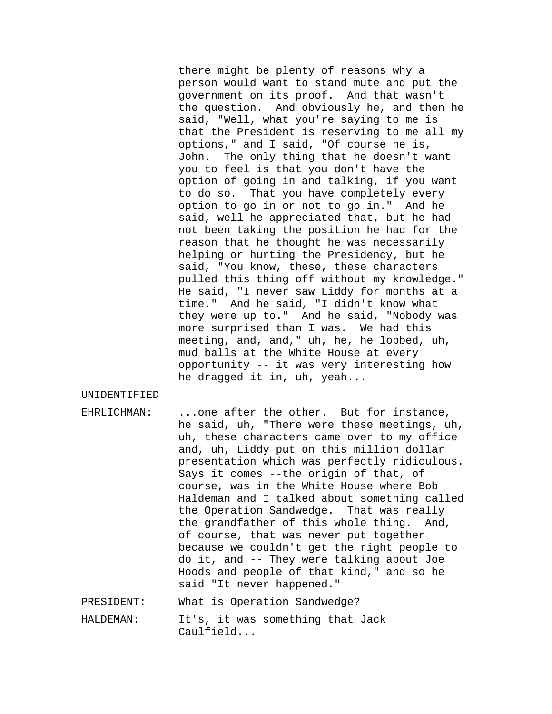there might be plenty of reasons why a person would want to stand mute and put the government on its proof. And that wasn't the question. And obviously he, and then he said, "Well, what you're saying to me is that the President is reserving to me all my options," and I said, "Of course he is, John. The only thing that he doesn't want you to feel is that you don't have the option of going in and talking, if you want to do so. That you have completely every option to go in or not to go in." And he said, well he appreciated that, but he had not been taking the position he had for the reason that he thought he was necessarily helping or hurting the Presidency, but he said, "You know, these, these characters pulled this thing off without my knowledge." He said, "I never saw Liddy for months at a time." And he said, "I didn't know what they were up to." And he said, "Nobody was more surprised than I was. We had this meeting, and, and," uh, he, he lobbed, uh, mud balls at the White House at every opportunity -- it was very interesting how he dragged it in, uh, yeah...

UNIDENTIFIED

- EHRLICHMAN: ...one after the other. But for instance, he said, uh, "There were these meetings, uh, uh, these characters came over to my office and, uh, Liddy put on this million dollar presentation which was perfectly ridiculous. Says it comes --the origin of that, of course, was in the White House where Bob Haldeman and I talked about something called the Operation Sandwedge. That was really the grandfather of this whole thing. And, of course, that was never put together because we couldn't get the right people to do it, and -- They were talking about Joe Hoods and people of that kind," and so he said "It never happened."
- PRESIDENT: What is Operation Sandwedge?
- HALDEMAN: It's, it was something that Jack Caulfield...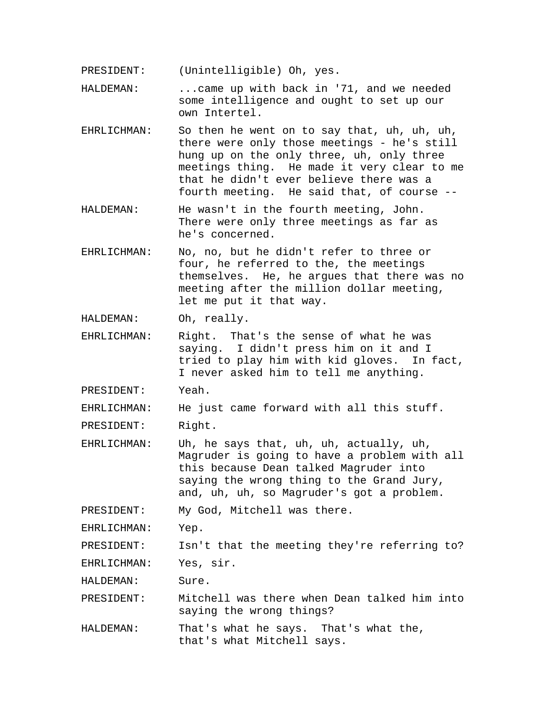PRESIDENT: (Unintelligible) Oh, yes.

HALDEMAN: ...came up with back in '71, and we needed some intelligence and ought to set up our own Intertel.

- EHRLICHMAN: So then he went on to say that, uh, uh, uh, there were only those meetings - he's still hung up on the only three, uh, only three meetings thing. He made it very clear to me that he didn't ever believe there was a fourth meeting. He said that, of course --
- HALDEMAN: He wasn't in the fourth meeting, John. There were only three meetings as far as he's concerned.
- EHRLICHMAN: No, no, but he didn't refer to three or four, he referred to the, the meetings themselves. He, he argues that there was no meeting after the million dollar meeting, let me put it that way.

HALDEMAN: Oh, really.

EHRLICHMAN: Right. That's the sense of what he was saying. I didn't press him on it and I tried to play him with kid gloves. In fact, I never asked him to tell me anything.

PRESIDENT: Yeah.

EHRLICHMAN: He just came forward with all this stuff.

PRESIDENT: Right.

EHRLICHMAN: Uh, he says that, uh, uh, actually, uh, Magruder is going to have a problem with all this because Dean talked Magruder into saying the wrong thing to the Grand Jury, and, uh, uh, so Magruder's got a problem.

PRESIDENT: My God, Mitchell was there.

EHRLICHMAN: Yep.

PRESIDENT: Isn't that the meeting they're referring to?

EHRLICHMAN: Yes, sir.

HALDEMAN: Sure.

PRESIDENT: Mitchell was there when Dean talked him into saying the wrong things?

HALDEMAN: That's what he says. That's what the, that's what Mitchell says.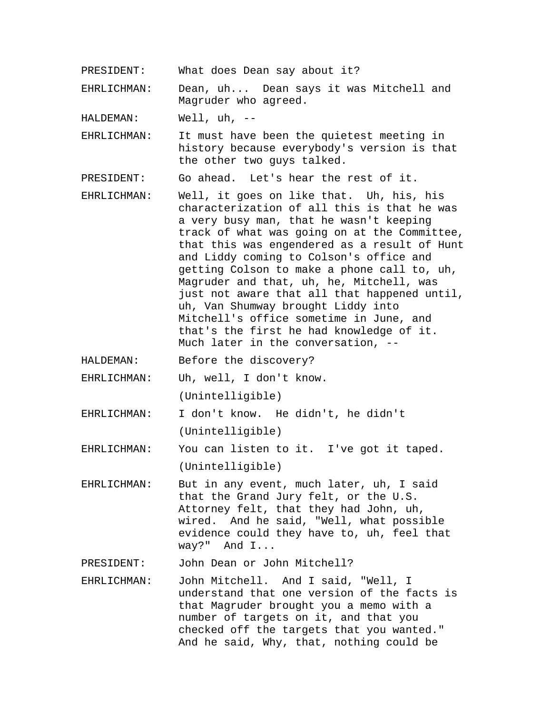PRESIDENT: What does Dean say about it?

EHRLICHMAN: Dean, uh... Dean says it was Mitchell and Magruder who agreed.

HALDEMAN: Well, uh, --

EHRLICHMAN: It must have been the quietest meeting in history because everybody's version is that the other two guys talked.

PRESIDENT: Go ahead. Let's hear the rest of it.

- EHRLICHMAN: Well, it goes on like that. Uh, his, his characterization of all this is that he was a very busy man, that he wasn't keeping track of what was going on at the Committee, that this was engendered as a result of Hunt and Liddy coming to Colson's office and getting Colson to make a phone call to, uh, Magruder and that, uh, he, Mitchell, was just not aware that all that happened until, uh, Van Shumway brought Liddy into Mitchell's office sometime in June, and that's the first he had knowledge of it. Much later in the conversation, --
- HALDEMAN: Before the discovery?

EHRLICHMAN: Uh, well, I don't know. (Unintelligible)

EHRLICHMAN: I don't know. He didn't, he didn't (Unintelligible)

EHRLICHMAN: You can listen to it. I've got it taped. (Unintelligible)

EHRLICHMAN: But in any event, much later, uh, I said that the Grand Jury felt, or the U.S. Attorney felt, that they had John, uh, wired. And he said, "Well, what possible evidence could they have to, uh, feel that way?" And I...

PRESIDENT: John Dean or John Mitchell?

EHRLICHMAN: John Mitchell. And I said, "Well, I understand that one version of the facts is that Magruder brought you a memo with a number of targets on it, and that you checked off the targets that you wanted." And he said, Why, that, nothing could be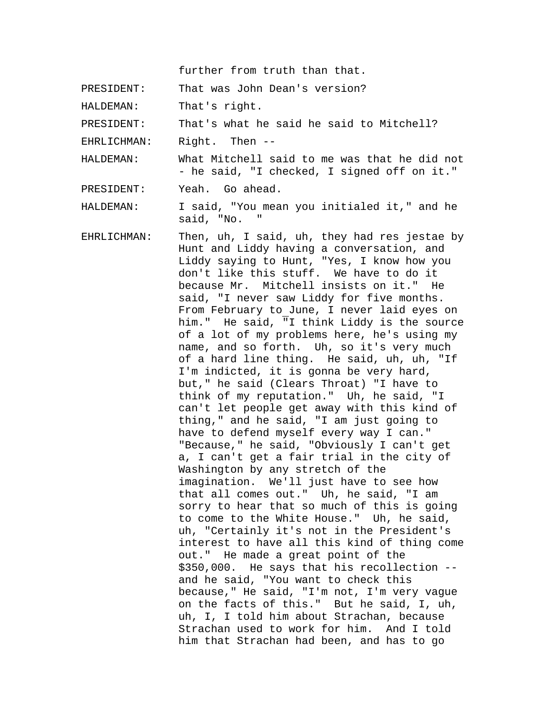further from truth than that.

PRESIDENT: That was John Dean's version?

HALDEMAN: That's right.

PRESIDENT: That's what he said he said to Mitchell?

EHRLICHMAN: Right. Then --

HALDEMAN: What Mitchell said to me was that he did not - he said, "I checked, I signed off on it."

PRESIDENT: Yeah. Go ahead.

HALDEMAN: I said, "You mean you initialed it," and he said, "No.

EHRLICHMAN: Then, uh, I said, uh, they had res jestae by Hunt and Liddy having a conversation, and Liddy saying to Hunt, "Yes, I know how you don't like this stuff. We have to do it because Mr. Mitchell insists on it." He said, "I never saw Liddy for five months. From February to June, I never laid eyes on him." He said, "I think Liddy is the source of a lot of my problems here, he's using my name, and so forth. Uh, so it's very much of a hard line thing. He said, uh, uh, "If I'm indicted, it is gonna be very hard, but," he said (Clears Throat) "I have to think of my reputation." Uh, he said, "I can't let people get away with this kind of thing," and he said, "I am just going to have to defend myself every way I can." "Because," he said, "Obviously I can't get a, I can't get a fair trial in the city of Washington by any stretch of the imagination. We'll just have to see how that all comes out." Uh, he said, "I am sorry to hear that so much of this is going to come to the White House." Uh, he said, uh, "Certainly it's not in the President's interest to have all this kind of thing come out." He made a great point of the \$350,000. He says that his recollection - and he said, "You want to check this because," He said, "I'm not, I'm very vague on the facts of this." But he said, I, uh, uh, I, I told him about Strachan, because Strachan used to work for him. And I told him that Strachan had been, and has to go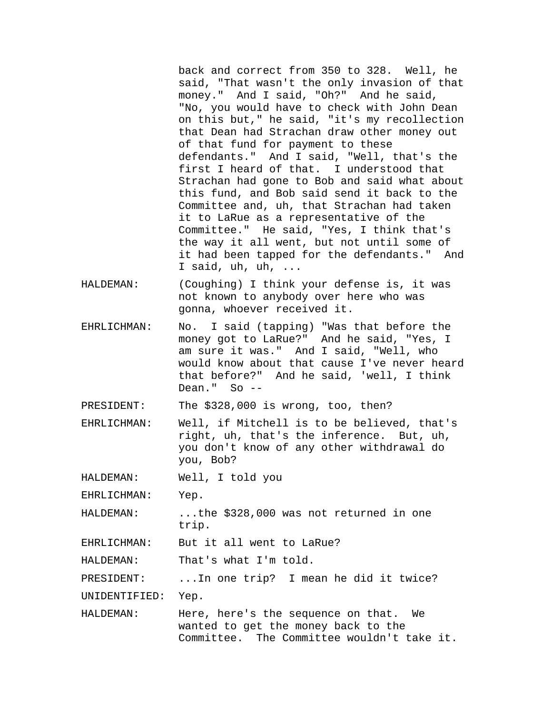back and correct from 350 to 328. Well, he said, "That wasn't the only invasion of that money." And I said, "Oh?" And he said, "No, you would have to check with John Dean on this but," he said, "it's my recollection that Dean had Strachan draw other money out of that fund for payment to these defendants." And I said, "Well, that's the first I heard of that. I understood that Strachan had gone to Bob and said what about this fund, and Bob said send it back to the Committee and, uh, that Strachan had taken it to LaRue as a representative of the Committee." He said, "Yes, I think that's the way it all went, but not until some of it had been tapped for the defendants." And I said, uh, uh, ...

- HALDEMAN: (Coughing) I think your defense is, it was not known to anybody over here who was gonna, whoever received it.
- EHRLICHMAN: No. I said (tapping) "Was that before the money got to LaRue?" And he said, "Yes, I am sure it was." And I said, "Well, who would know about that cause I've never heard that before?" And he said, 'well, I think Dean." So  $-$

PRESIDENT: The \$328,000 is wrong, too, then?

EHRLICHMAN: Well, if Mitchell is to be believed, that's right, uh, that's the inference. But, uh, you don't know of any other withdrawal do you, Bob?

HALDEMAN: Well, I told you

EHRLICHMAN: Yep.

HALDEMAN: ...the \$328,000 was not returned in one trip.

EHRLICHMAN: But it all went to LaRue?

HALDEMAN: That's what I'm told.

PRESIDENT: ...In one trip? I mean he did it twice?

UNIDENTIFIED: Yep.

HALDEMAN: Here, here's the sequence on that. We wanted to get the money back to the Committee. The Committee wouldn't take it.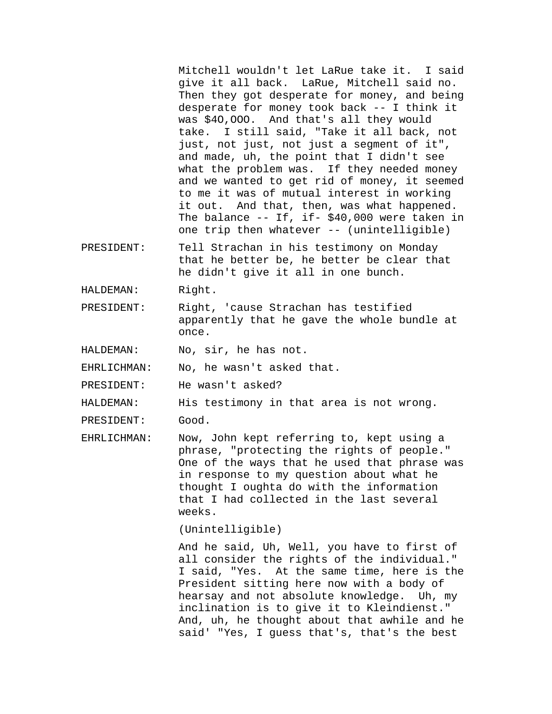Mitchell wouldn't let LaRue take it. I said give it all back. LaRue, Mitchell said no. Then they got desperate for money, and being desperate for money took back -- I think it was \$4O,OOO. And that's all they would take. I still said, "Take it all back, not just, not just, not just a segment of it", and made, uh, the point that I didn't see what the problem was. If they needed money and we wanted to get rid of money, it seemed to me it was of mutual interest in working it out. And that, then, was what happened. The balance -- If, if- \$40,000 were taken in one trip then whatever -- (unintelligible)

- PRESIDENT: Tell Strachan in his testimony on Monday that he better be, he better be clear that he didn't give it all in one bunch.
- HALDEMAN: Right.
- PRESIDENT: Right, 'cause Strachan has testified apparently that he gave the whole bundle at once.

HALDEMAN: No, sir, he has not.

EHRLICHMAN: No, he wasn't asked that.

PRESIDENT: He wasn't asked?

HALDEMAN: His testimony in that area is not wrong.

PRESIDENT: Good.

EHRLICHMAN: Now, John kept referring to, kept using a phrase, "protecting the rights of people." One of the ways that he used that phrase was in response to my question about what he thought I oughta do with the information that I had collected in the last several weeks.

(Unintelligible)

And he said, Uh, Well, you have to first of all consider the rights of the individual." I said, "Yes. At the same time, here is the President sitting here now with a body of hearsay and not absolute knowledge. Uh, my inclination is to give it to Kleindienst." And, uh, he thought about that awhile and he said' "Yes, I guess that's, that's the best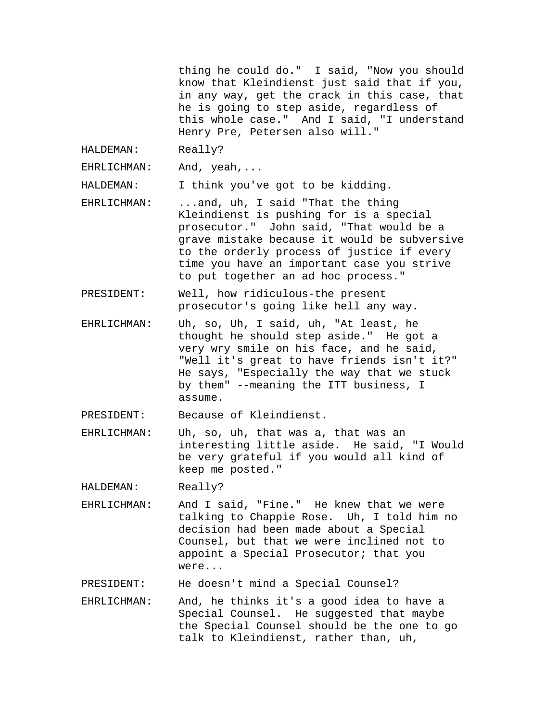thing he could do." I said, "Now you should know that Kleindienst just said that if you, in any way, get the crack in this case, that he is going to step aside, regardless of this whole case." And I said, "I understand Henry Pre, Petersen also will."

HALDEMAN: Really?

EHRLICHMAN: And, yeah,...

HALDEMAN: I think you've got to be kidding.

- EHRLICHMAN: ...and, uh, I said "That the thing Kleindienst is pushing for is a special prosecutor." John said, "That would be a grave mistake because it would be subversive to the orderly process of justice if every time you have an important case you strive to put together an ad hoc process."
- PRESIDENT: Well, how ridiculous-the present prosecutor's going like hell any way.
- EHRLICHMAN: Uh, so, Uh, I said, uh, "At least, he thought he should step aside." He got a very wry smile on his face, and he said, "Well it's great to have friends isn't it?" He says, "Especially the way that we stuck by them" --meaning the ITT business, I assume.

PRESIDENT: Because of Kleindienst.

EHRLICHMAN: Uh, so, uh, that was a, that was an interesting little aside. He said, "I Would be very grateful if you would all kind of keep me posted."

HALDEMAN: Really?

EHRLICHMAN: And I said, "Fine." He knew that we were talking to Chappie Rose. Uh, I told him no decision had been made about a Special Counsel, but that we were inclined not to appoint a Special Prosecutor; that you were...

PRESIDENT: He doesn't mind a Special Counsel?

EHRLICHMAN: And, he thinks it's a good idea to have a Special Counsel. He suggested that maybe the Special Counsel should be the one to go talk to Kleindienst, rather than, uh,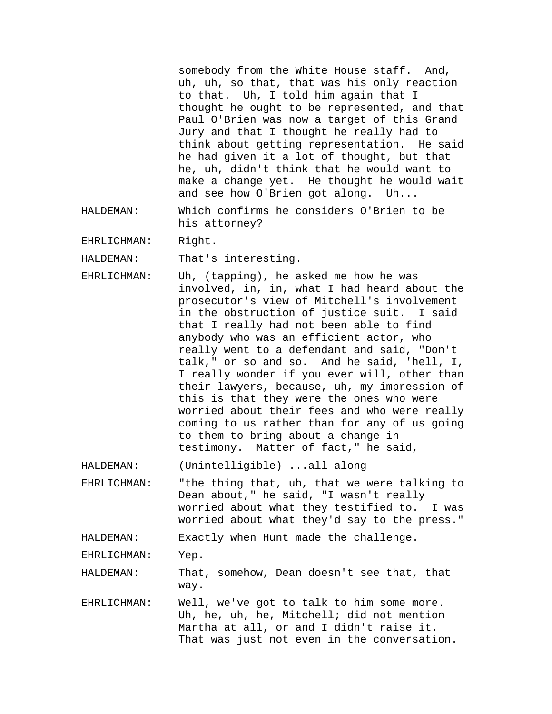somebody from the White House staff. And, uh, uh, so that, that was his only reaction to that. Uh, I told him again that I thought he ought to be represented, and that Paul O'Brien was now a target of this Grand Jury and that I thought he really had to think about getting representation. He said he had given it a lot of thought, but that he, uh, didn't think that he would want to make a change yet. He thought he would wait and see how O'Brien got along. Uh...

HALDEMAN: Which confirms he considers O'Brien to be his attorney?

EHRLICHMAN: Right.

HALDEMAN: That's interesting.

EHRLICHMAN: Uh, (tapping), he asked me how he was involved, in, in, what I had heard about the prosecutor's view of Mitchell's involvement in the obstruction of justice suit. I said that I really had not been able to find anybody who was an efficient actor, who really went to a defendant and said, "Don't talk," or so and so. And he said, 'hell, I, I really wonder if you ever will, other than their lawyers, because, uh, my impression of this is that they were the ones who were worried about their fees and who were really coming to us rather than for any of us going to them to bring about a change in testimony. Matter of fact," he said,

HALDEMAN: (Unintelligible) ...all along

EHRLICHMAN: "the thing that, uh, that we were talking to Dean about," he said, "I wasn't really worried about what they testified to. I was worried about what they'd say to the press."

HALDEMAN: Exactly when Hunt made the challenge.

EHRLICHMAN: Yep.

HALDEMAN: That, somehow, Dean doesn't see that, that way.

EHRLICHMAN: Well, we've got to talk to him some more. Uh, he, uh, he, Mitchell; did not mention Martha at all, or and I didn't raise it. That was just not even in the conversation.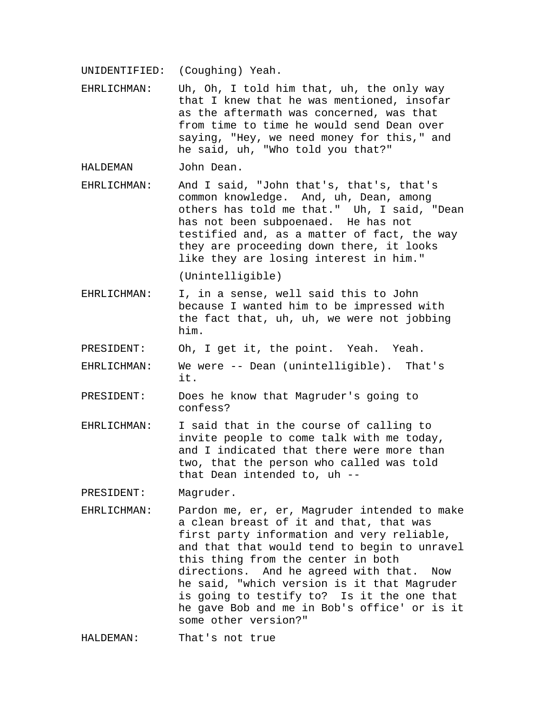UNIDENTIFIED: (Coughing) Yeah.

EHRLICHMAN: Uh, Oh, I told him that, uh, the only way that I knew that he was mentioned, insofar as the aftermath was concerned, was that from time to time he would send Dean over saying, "Hey, we need money for this," and he said, uh, "Who told you that?"

HALDEMAN John Dean.

EHRLICHMAN: And I said, "John that's, that's, that's common knowledge. And, uh, Dean, among others has told me that." Uh, I said, "Dean has not been subpoenaed. He has not testified and, as a matter of fact, the way they are proceeding down there, it looks like they are losing interest in him."

(Unintelligible)

- EHRLICHMAN: I, in a sense, well said this to John because I wanted him to be impressed with the fact that, uh, uh, we were not jobbing him.
- PRESIDENT: Oh, I get it, the point. Yeah. Yeah.
- EHRLICHMAN: We were -- Dean (unintelligible). That's it.
- PRESIDENT: Does he know that Magruder's going to confess?
- EHRLICHMAN: I said that in the course of calling to invite people to come talk with me today, and I indicated that there were more than two, that the person who called was told that Dean intended to, uh --

PRESIDENT: Magruder.

EHRLICHMAN: Pardon me, er, er, Magruder intended to make a clean breast of it and that, that was first party information and very reliable, and that that would tend to begin to unravel this thing from the center in both directions. And he agreed with that. Now he said, "which version is it that Magruder is going to testify to? Is it the one that he gave Bob and me in Bob's office' or is it some other version?"

HALDEMAN: That's not true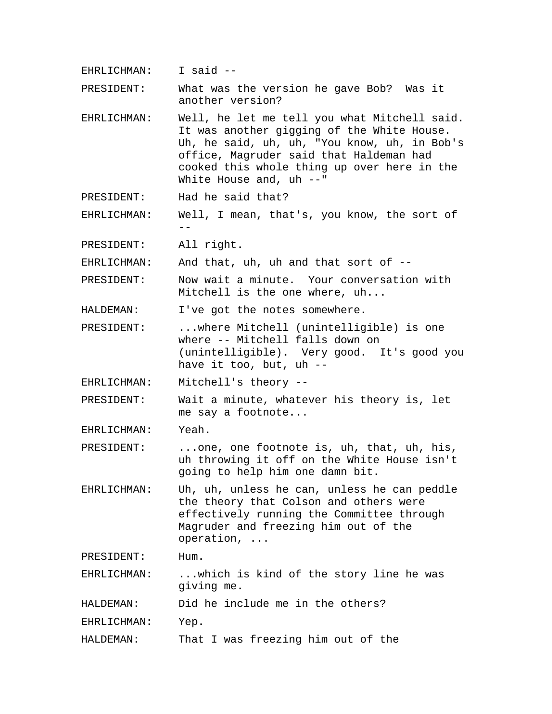EHRLICHMAN: I said --

PRESIDENT: What was the version he gave Bob? Was it another version?

- EHRLICHMAN: Well, he let me tell you what Mitchell said. It was another gigging of the White House. Uh, he said, uh, uh, "You know, uh, in Bob's office, Magruder said that Haldeman had cooked this whole thing up over here in the White House and, uh --"
- PRESIDENT: Had he said that?

EHRLICHMAN: Well, I mean, that's, you know, the sort of  $-$ 

PRESIDENT: All right.

EHRLICHMAN: And that, uh, uh and that sort of --

PRESIDENT: Now wait a minute. Your conversation with Mitchell is the one where, uh...

HALDEMAN: I've got the notes somewhere.

- PRESIDENT: ...where Mitchell (unintelligible) is one where -- Mitchell falls down on (unintelligible). Very good. It's good you have it too, but, uh --
- EHRLICHMAN: Mitchell's theory --
- PRESIDENT: Wait a minute, whatever his theory is, let me say a footnote...

EHRLICHMAN: Yeah.

- PRESIDENT: ...one, one footnote is, uh, that, uh, his, uh throwing it off on the White House isn't going to help him one damn bit.
- EHRLICHMAN: Uh, uh, unless he can, unless he can peddle the theory that Colson and others were effectively running the Committee through Magruder and freezing him out of the operation, ...

PRESIDENT: Hum.

EHRLICHMAN: ...which is kind of the story line he was giving me.

HALDEMAN: Did he include me in the others?

EHRLICHMAN: Yep.

HALDEMAN: That I was freezing him out of the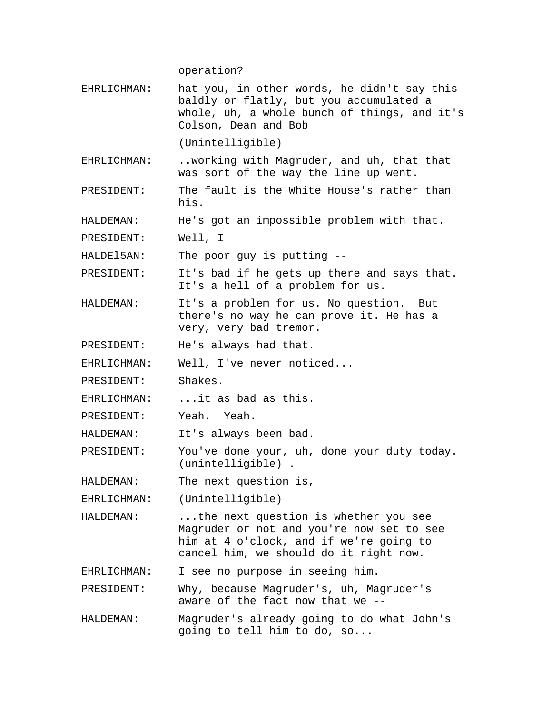operation?

EHRLICHMAN: hat you, in other words, he didn't say this baldly or flatly, but you accumulated a whole, uh, a whole bunch of things, and it's Colson, Dean and Bob

(Unintelligible)

EHRLICHMAN: ..working with Magruder, and uh, that that was sort of the way the line up went.

PRESIDENT: The fault is the White House's rather than his.

HALDEMAN: He's got an impossible problem with that.

PRESIDENT: Well, I

HALDEl5AN: The poor guy is putting --

PRESIDENT: It's bad if he gets up there and says that. It's a hell of a problem for us.

HALDEMAN: It's a problem for us. No question. But there's no way he can prove it. He has a very, very bad tremor.

PRESIDENT: He's always had that.

EHRLICHMAN: Well, I've never noticed...

PRESIDENT: Shakes.

EHRLICHMAN: ...it as bad as this.

PRESIDENT: Yeah. Yeah.

HALDEMAN: It's always been bad.

PRESIDENT: You've done your, uh, done your duty today. (unintelligible) .

HALDEMAN: The next question is,

EHRLICHMAN: (Unintelligible)

HALDEMAN: ...the next question is whether you see Magruder or not and you're now set to see him at 4 o'clock, and if we're going to cancel him, we should do it right now.

EHRLICHMAN: I see no purpose in seeing him.

PRESIDENT: Why, because Magruder's, uh, Magruder's aware of the fact now that we --

HALDEMAN: Magruder's already going to do what John's going to tell him to do, so...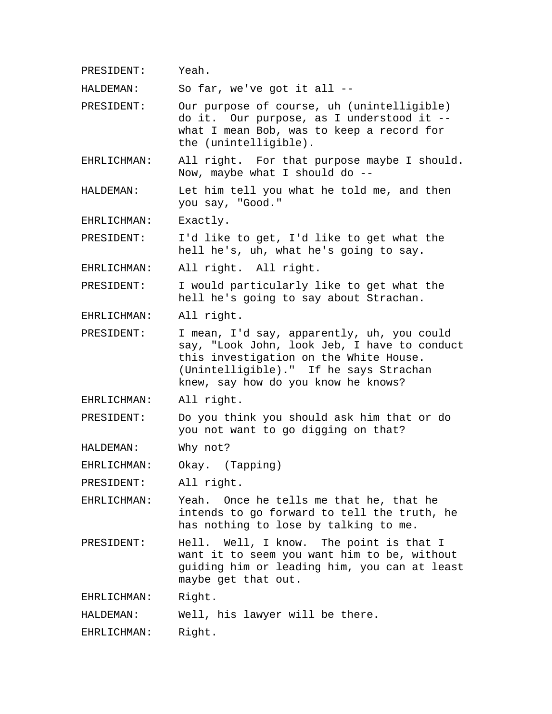PRESIDENT: Yeah.

HALDEMAN: So far, we've got it all --

PRESIDENT: Our purpose of course, uh (unintelligible) do it. Our purpose, as I understood it - what I mean Bob, was to keep a record for the (unintelligible).

EHRLICHMAN: All right. For that purpose maybe I should. Now, maybe what I should do --

HALDEMAN: Let him tell you what he told me, and then you say, "Good."

EHRLICHMAN: Exactly.

PRESIDENT: I'd like to get, I'd like to get what the hell he's, uh, what he's going to say.

EHRLICHMAN: All right. All right.

PRESIDENT: I would particularly like to get what the hell he's going to say about Strachan.

EHRLICHMAN: All right.

PRESIDENT: I mean, I'd say, apparently, uh, you could say, "Look John, look Jeb, I have to conduct this investigation on the White House. (Unintelligible)." If he says Strachan knew, say how do you know he knows?

EHRLICHMAN: All right.

PRESIDENT: Do you think you should ask him that or do you not want to go digging on that?

HALDEMAN: Why not?

EHRLICHMAN: Okay. (Tapping)

PRESIDENT: All right.

EHRLICHMAN: Yeah. Once he tells me that he, that he intends to go forward to tell the truth, he has nothing to lose by talking to me.

PRESIDENT: Hell. Well, I know. The point is that I want it to seem you want him to be, without guiding him or leading him, you can at least maybe get that out.

EHRLICHMAN: Right.

HALDEMAN: Well, his lawyer will be there.

EHRLICHMAN: Right.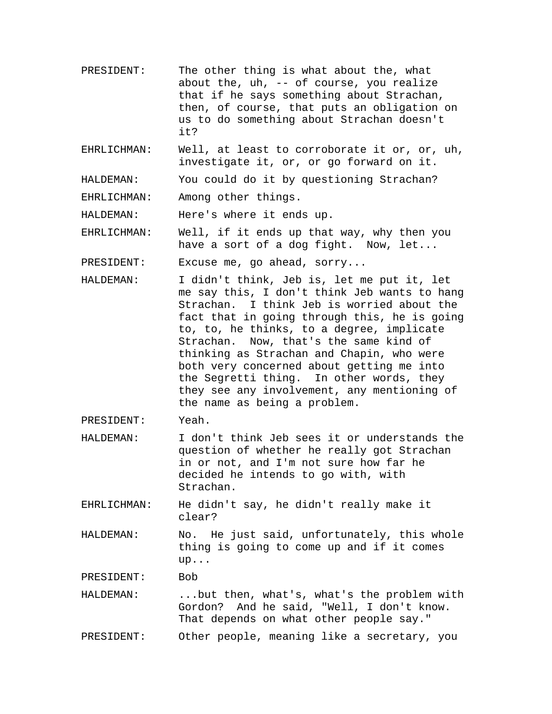- PRESIDENT: The other thing is what about the, what about the, uh, -- of course, you realize that if he says something about Strachan, then, of course, that puts an obligation on us to do something about Strachan doesn't it?
- EHRLICHMAN: Well, at least to corroborate it or, or, uh, investigate it, or, or go forward on it.

HALDEMAN: You could do it by questioning Strachan?

EHRLICHMAN: Among other things.

HALDEMAN: Here's where it ends up.

EHRLICHMAN: Well, if it ends up that way, why then you have a sort of a dog fight. Now, let...

PRESIDENT: Excuse me, go ahead, sorry...

- HALDEMAN: I didn't think, Jeb is, let me put it, let me say this, I don't think Jeb wants to hang Strachan. I think Jeb is worried about the fact that in going through this, he is going to, to, he thinks, to a degree, implicate Strachan. Now, that's the same kind of thinking as Strachan and Chapin, who were both very concerned about getting me into the Segretti thing. In other words, they they see any involvement, any mentioning of the name as being a problem.
- PRESIDENT: Yeah.
- HALDEMAN: I don't think Jeb sees it or understands the question of whether he really got Strachan in or not, and I'm not sure how far he decided he intends to go with, with Strachan.

EHRLICHMAN: He didn't say, he didn't really make it clear?

HALDEMAN: No. He just said, unfortunately, this whole thing is going to come up and if it comes up...

PRESIDENT: Bob

HALDEMAN: ...but then, what's, what's the problem with Gordon? And he said, "Well, I don't know. That depends on what other people say."

PRESIDENT: Other people, meaning like a secretary, you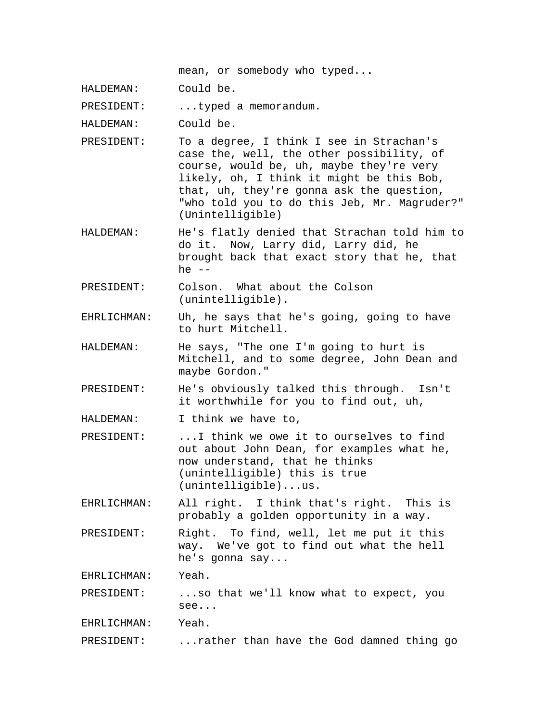mean, or somebody who typed...

HALDEMAN: Could be.

PRESIDENT: ...typed a memorandum.

HALDEMAN: Could be.

- PRESIDENT: To a degree, I think I see in Strachan's case the, well, the other possibility, of course, would be, uh, maybe they're very likely, oh, I think it might be this Bob, that, uh, they're gonna ask the question, "who told you to do this Jeb, Mr. Magruder?" (Unintelligible)
- HALDEMAN: He's flatly denied that Strachan told him to do it. Now, Larry did, Larry did, he brought back that exact story that he, that he  $--$
- PRESIDENT: Colson. What about the Colson (unintelligible).
- EHRLICHMAN: Uh, he says that he's going, going to have to hurt Mitchell.
- HALDEMAN: He says, "The one I'm going to hurt is Mitchell, and to some degree, John Dean and maybe Gordon."
- PRESIDENT: He's obviously talked this through. Isn't it worthwhile for you to find out, uh,

HALDEMAN: I think we have to,

- PRESIDENT: ...I think we owe it to ourselves to find out about John Dean, for examples what he, now understand, that he thinks (unintelligible) this is true (unintelligible)...us.
- EHRLICHMAN: All right. I think that's right. This is probably a golden opportunity in a way.
- PRESIDENT: Right. To find, well, let me put it this way. We've got to find out what the hell he's gonna say...

EHRLICHMAN: Yeah.

PRESIDENT: ...so that we'll know what to expect, you see...

EHRLICHMAN: Yeah.

PRESIDENT: ...rather than have the God damned thing go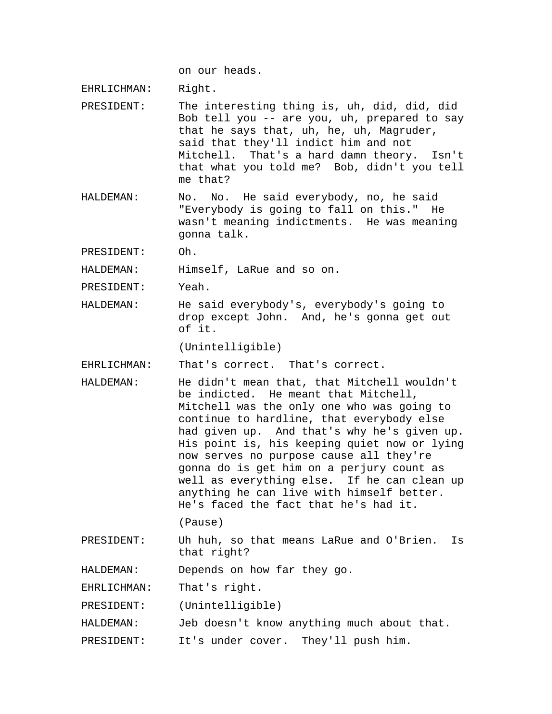on our heads.

EHRLICHMAN: Right.

- PRESIDENT: The interesting thing is, uh, did, did, did Bob tell you -- are you, uh, prepared to say that he says that, uh, he, uh, Magruder, said that they'll indict him and not Mitchell. That's a hard damn theory. Isn't that what you told me? Bob, didn't you tell me that?
- HALDEMAN: No. No. He said everybody, no, he said "Everybody is going to fall on this." He wasn't meaning indictments. He was meaning gonna talk.

PRESIDENT: Oh.

HALDEMAN: Himself, LaRue and so on.

PRESIDENT: Yeah.

HALDEMAN: He said everybody's, everybody's going to drop except John. And, he's gonna get out of it.

(Unintelligible)

EHRLICHMAN: That's correct. That's correct.

HALDEMAN: He didn't mean that, that Mitchell wouldn't be indicted. He meant that Mitchell, Mitchell was the only one who was going to continue to hardline, that everybody else had given up. And that's why he's given up. His point is, his keeping quiet now or lying now serves no purpose cause all they're gonna do is get him on a perjury count as well as everything else. If he can clean up anything he can live with himself better. He's faced the fact that he's had it.

(Pause)

PRESIDENT: Uh huh, so that means LaRue and O'Brien. Is that right?

HALDEMAN: Depends on how far they go.

EHRLICHMAN: That's right.

PRESIDENT: (Unintelligible)

- HALDEMAN: Jeb doesn't know anything much about that.
- PRESIDENT: It's under cover. They'll push him.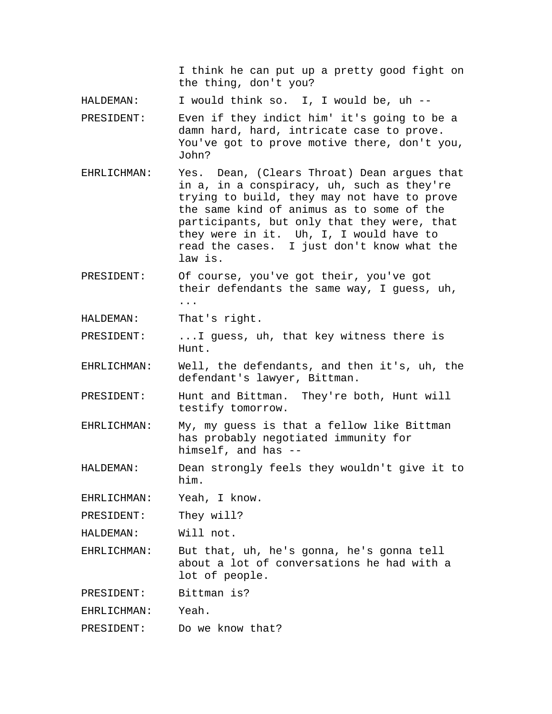I think he can put up a pretty good fight on the thing, don't you?

HALDEMAN: I would think so. I, I would be, uh --

- PRESIDENT: Even if they indict him' it's going to be a damn hard, hard, intricate case to prove. You've got to prove motive there, don't you, John?
- EHRLICHMAN: Yes. Dean, (Clears Throat) Dean argues that in a, in a conspiracy, uh, such as they're trying to build, they may not have to prove the same kind of animus as to some of the participants, but only that they were, that they were in it. Uh, I, I would have to read the cases. I just don't know what the law is.
- PRESIDENT: Of course, you've got their, you've got their defendants the same way, I guess, uh, ...

HALDEMAN: That's right.

- PRESIDENT: ...I guess, uh, that key witness there is Hunt.
- EHRLICHMAN: Well, the defendants, and then it's, uh, the defendant's lawyer, Bittman.
- PRESIDENT: Hunt and Bittman. They're both, Hunt will testify tomorrow.
- EHRLICHMAN: My, my guess is that a fellow like Bittman has probably negotiated immunity for himself, and has --
- HALDEMAN: Dean strongly feels they wouldn't give it to him.

EHRLICHMAN: Yeah, I know.

PRESIDENT: They will?

HALDEMAN: Will not.

EHRLICHMAN: But that, uh, he's gonna, he's gonna tell about a lot of conversations he had with a lot of people.

PRESIDENT: Bittman is?

EHRLICHMAN: Yeah.

PRESIDENT: Do we know that?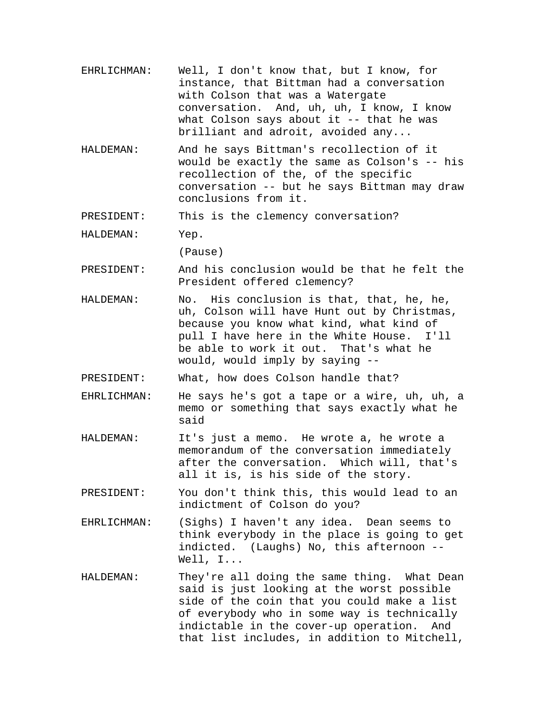- EHRLICHMAN: Well, I don't know that, but I know, for instance, that Bittman had a conversation with Colson that was a Watergate conversation. And, uh, uh, I know, I know what Colson says about it -- that he was brilliant and adroit, avoided any...
- HALDEMAN: And he says Bittman's recollection of it would be exactly the same as Colson's -- his recollection of the, of the specific conversation -- but he says Bittman may draw conclusions from it.

PRESIDENT: This is the clemency conversation?

HALDEMAN: Yep.

(Pause)

- PRESIDENT: And his conclusion would be that he felt the President offered clemency?
- HALDEMAN: No. His conclusion is that, that, he, he, uh, Colson will have Hunt out by Christmas, because you know what kind, what kind of pull I have here in the White House. I'll be able to work it out. That's what he would, would imply by saying --

PRESIDENT: What, how does Colson handle that?

- EHRLICHMAN: He says he's got a tape or a wire, uh, uh, a memo or something that says exactly what he said
- HALDEMAN: It's just a memo. He wrote a, he wrote a memorandum of the conversation immediately after the conversation. Which will, that's all it is, is his side of the story.
- PRESIDENT: You don't think this, this would lead to an indictment of Colson do you?
- EHRLICHMAN: (Sighs) I haven't any idea. Dean seems to think everybody in the place is going to get indicted. (Laughs) No, this afternoon -- Well, I...
- HALDEMAN: They're all doing the same thing. What Dean said is just looking at the worst possible side of the coin that you could make a list of everybody who in some way is technically indictable in the cover-up operation. And that list includes, in addition to Mitchell,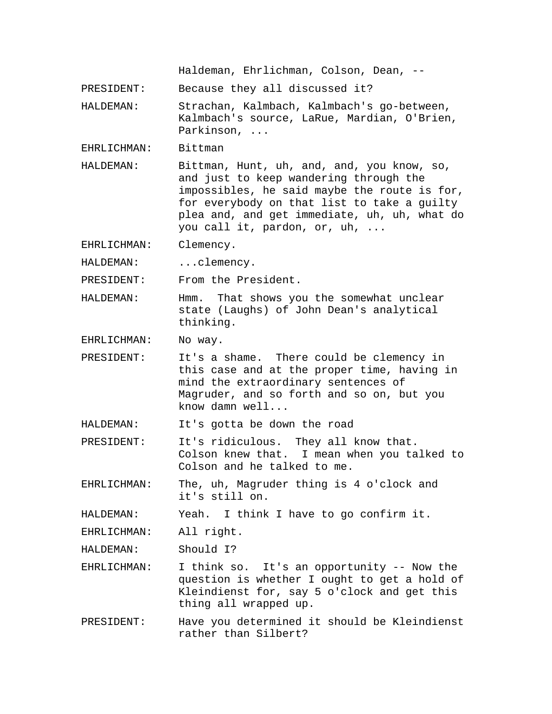Haldeman, Ehrlichman, Colson, Dean, --

PRESIDENT: Because they all discussed it?

HALDEMAN: Strachan, Kalmbach, Kalmbach's go-between, Kalmbach's source, LaRue, Mardian, O'Brien, Parkinson, ...

EHRLICHMAN: Bittman

HALDEMAN: Bittman, Hunt, uh, and, and, you know, so, and just to keep wandering through the impossibles, he said maybe the route is for, for everybody on that list to take a guilty plea and, and get immediate, uh, uh, what do you call it, pardon, or, uh, ...

EHRLICHMAN: Clemency.

HALDEMAN: ...clemency.

PRESIDENT: From the President.

HALDEMAN: Hmm. That shows you the somewhat unclear state (Laughs) of John Dean's analytical thinking.

EHRLICHMAN: No way.

PRESIDENT: It's a shame. There could be clemency in this case and at the proper time, having in mind the extraordinary sentences of Magruder, and so forth and so on, but you know damn well...

HALDEMAN: It's gotta be down the road

PRESIDENT: It's ridiculous. They all know that. Colson knew that. I mean when you talked to Colson and he talked to me.

EHRLICHMAN: The, uh, Magruder thing is 4 o'clock and it's still on.

HALDEMAN: Yeah. I think I have to go confirm it.

EHRLICHMAN: All right.

HALDEMAN: Should I?

- EHRLICHMAN: I think so. It's an opportunity -- Now the question is whether I ought to get a hold of Kleindienst for, say 5 o'clock and get this thing all wrapped up.
- PRESIDENT: Have you determined it should be Kleindienst rather than Silbert?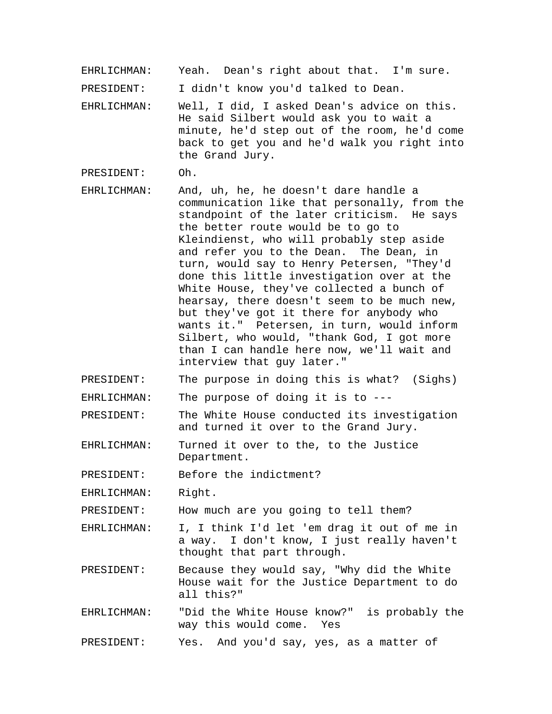EHRLICHMAN: Yeah. Dean's right about that. I'm sure.

PRESIDENT: I didn't know you'd talked to Dean.

EHRLICHMAN: Well, I did, I asked Dean's advice on this. He said Silbert would ask you to wait a minute, he'd step out of the room, he'd come back to get you and he'd walk you right into the Grand Jury.

PRESIDENT: Oh.

- EHRLICHMAN: And, uh, he, he doesn't dare handle a communication like that personally, from the standpoint of the later criticism. He says the better route would be to go to Kleindienst, who will probably step aside and refer you to the Dean. The Dean, in turn, would say to Henry Petersen, "They'd done this little investigation over at the White House, they've collected a bunch of hearsay, there doesn't seem to be much new, but they've got it there for anybody who wants it." Petersen, in turn, would inform Silbert, who would, "thank God, I got more than I can handle here now, we'll wait and interview that guy later."
- PRESIDENT: The purpose in doing this is what? (Sighs)
- EHRLICHMAN: The purpose of doing it is to ---
- PRESIDENT: The White House conducted its investigation and turned it over to the Grand Jury.
- EHRLICHMAN: Turned it over to the, to the Justice Department.

PRESIDENT: Before the indictment?

EHRLICHMAN: Right.

PRESIDENT: How much are you going to tell them?

- EHRLICHMAN: I, I think I'd let 'em drag it out of me in a way. I don't know, I just really haven't thought that part through.
- PRESIDENT: Because they would say, "Why did the White House wait for the Justice Department to do all this?"
- EHRLICHMAN: "Did the White House know?" is probably the way this would come. Yes

PRESIDENT: Yes. And you'd say, yes, as a matter of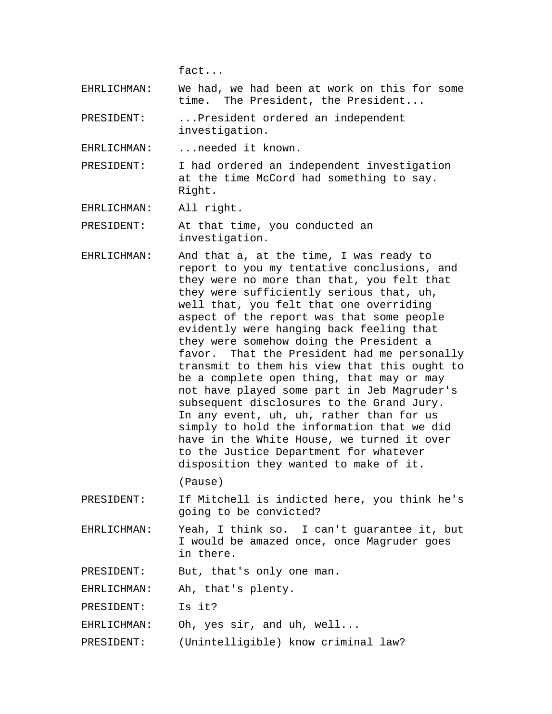fact...

EHRLICHMAN: We had, we had been at work on this for some time. The President, the President...

PRESIDENT: ...President ordered an independent investigation.

EHRLICHMAN: ...needed it known.

PRESIDENT: I had ordered an independent investigation at the time McCord had something to say. Right.

EHRLICHMAN: All right.

PRESIDENT: At that time, you conducted an investigation.

EHRLICHMAN: And that a, at the time, I was ready to report to you my tentative conclusions, and they were no more than that, you felt that they were sufficiently serious that, uh, well that, you felt that one overriding aspect of the report was that some people evidently were hanging back feeling that they were somehow doing the President a favor. That the President had me personally transmit to them his view that this ought to be a complete open thing, that may or may not have played some part in Jeb Magruder's subsequent disclosures to the Grand Jury. In any event, uh, uh, rather than for us simply to hold the information that we did have in the White House, we turned it over to the Justice Department for whatever disposition they wanted to make of it.

(Pause)

- PRESIDENT: If Mitchell is indicted here, you think he's going to be convicted?
- EHRLICHMAN: Yeah, I think so. I can't guarantee it, but I would be amazed once, once Magruder goes in there.

PRESIDENT: But, that's only one man.

EHRLICHMAN: Ah, that's plenty.

PRESIDENT: Is it?

EHRLICHMAN: Oh, yes sir, and uh, well...

PRESIDENT: (Unintelligible) know criminal law?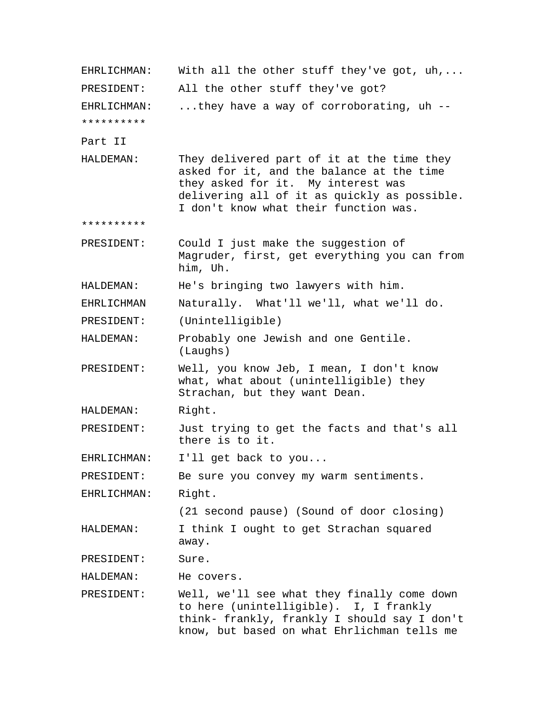| EHRLICHMAN: | With all the other stuff they've got, uh,                                                                                                                                                                              |
|-------------|------------------------------------------------------------------------------------------------------------------------------------------------------------------------------------------------------------------------|
| PRESIDENT:  | All the other stuff they've got?                                                                                                                                                                                       |
| EHRLICHMAN: | they have a way of corroborating, uh --                                                                                                                                                                                |
| **********  |                                                                                                                                                                                                                        |
| Part II     |                                                                                                                                                                                                                        |
| HALDEMAN:   | They delivered part of it at the time they<br>asked for it, and the balance at the time<br>they asked for it. My interest was<br>delivering all of it as quickly as possible.<br>I don't know what their function was. |
| **********  |                                                                                                                                                                                                                        |
| PRESIDENT:  | Could I just make the suggestion of<br>Magruder, first, get everything you can from<br>him, Uh.                                                                                                                        |
| HALDEMAN:   | He's bringing two lawyers with him.                                                                                                                                                                                    |
| EHRLICHMAN  | Naturally. What'll we'll, what we'll do.                                                                                                                                                                               |
| PRESIDENT:  | (Unintelligible)                                                                                                                                                                                                       |
| HALDEMAN:   | Probably one Jewish and one Gentile.<br>(Laughs)                                                                                                                                                                       |
| PRESIDENT:  | Well, you know Jeb, I mean, I don't know<br>what, what about (unintelligible) they<br>Strachan, but they want Dean.                                                                                                    |
| HALDEMAN:   | Right.                                                                                                                                                                                                                 |
| PRESIDENT:  | Just trying to get the facts and that's all<br>there is to it.                                                                                                                                                         |
| EHRLICHMAN: | I'll get back to you                                                                                                                                                                                                   |
| PRESIDENT:  | Be sure you convey my warm sentiments.                                                                                                                                                                                 |
| EHRLICHMAN: | Right.                                                                                                                                                                                                                 |
|             | (21 second pause) (Sound of door closing)                                                                                                                                                                              |
| HALDEMAN:   | I think I ought to get Strachan squared<br>away.                                                                                                                                                                       |
| PRESIDENT:  | Sure.                                                                                                                                                                                                                  |
| HALDEMAN:   | He covers.                                                                                                                                                                                                             |
| PRESIDENT:  | Well, we'll see what they finally come down<br>to here (unintelligible). I, I frankly<br>think- frankly, frankly I should say I don't<br>know, but based on what Ehrlichman tells me                                   |